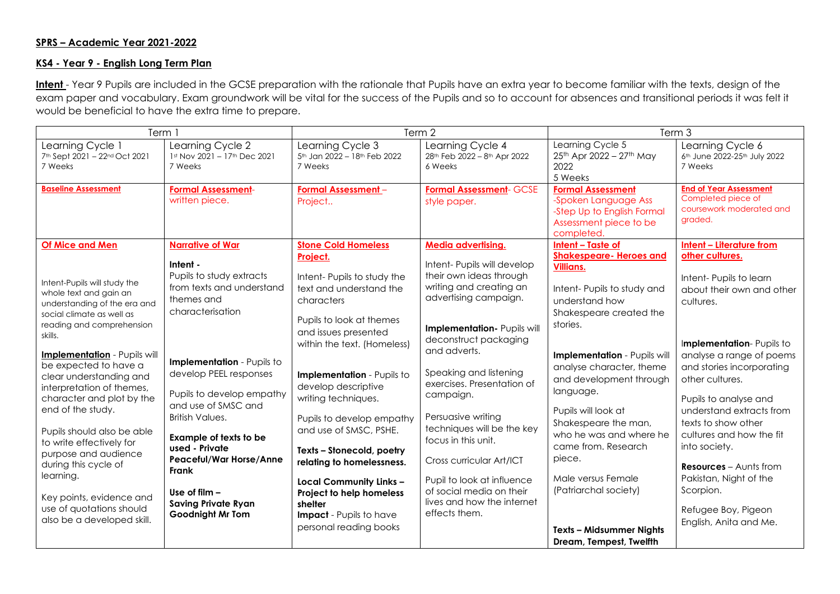## **SPRS – Academic Year 2021-2022**

## **KS4 - Year 9 - English Long Term Plan**

Intent - Year 9 Pupils are included in the GCSE preparation with the rationale that Pupils have an extra year to become familiar with the texts, design of the exam paper and vocabulary. Exam groundwork will be vital for the success of the Pupils and so to account for absences and transitional periods it was felt it would be beneficial to have the extra time to prepare.

| Term 1                                                                                                                                                                                                                                                                                                                                                                                                                                                                                                                                                                |                                                                                                                                                                                                                                                                                                                                                                                                                                       | Term 2                                                                                                                                                                                                                                                                                                                                                                                                                                                                                             |                                                                                                                                                                                                                                                                                                                                                                                                                                                                                               | Term 3                                                                                                                                                                                                                                                                                                                                                                                                                        |                                                                                                                                                                                                                                                                                                                                                                                                                                                                                   |
|-----------------------------------------------------------------------------------------------------------------------------------------------------------------------------------------------------------------------------------------------------------------------------------------------------------------------------------------------------------------------------------------------------------------------------------------------------------------------------------------------------------------------------------------------------------------------|---------------------------------------------------------------------------------------------------------------------------------------------------------------------------------------------------------------------------------------------------------------------------------------------------------------------------------------------------------------------------------------------------------------------------------------|----------------------------------------------------------------------------------------------------------------------------------------------------------------------------------------------------------------------------------------------------------------------------------------------------------------------------------------------------------------------------------------------------------------------------------------------------------------------------------------------------|-----------------------------------------------------------------------------------------------------------------------------------------------------------------------------------------------------------------------------------------------------------------------------------------------------------------------------------------------------------------------------------------------------------------------------------------------------------------------------------------------|-------------------------------------------------------------------------------------------------------------------------------------------------------------------------------------------------------------------------------------------------------------------------------------------------------------------------------------------------------------------------------------------------------------------------------|-----------------------------------------------------------------------------------------------------------------------------------------------------------------------------------------------------------------------------------------------------------------------------------------------------------------------------------------------------------------------------------------------------------------------------------------------------------------------------------|
| Learning Cycle 1<br>7th Sept 2021 - 22nd Oct 2021<br>7 Weeks                                                                                                                                                                                                                                                                                                                                                                                                                                                                                                          | Learning Cycle 2<br>1st Nov 2021 - 17th Dec 2021<br>7 Weeks                                                                                                                                                                                                                                                                                                                                                                           | Learning Cycle 3<br>5th Jan 2022 - 18th Feb 2022<br>7 Weeks                                                                                                                                                                                                                                                                                                                                                                                                                                        | Learning Cycle 4<br>28th Feb 2022 - 8th Apr 2022<br>6 Weeks                                                                                                                                                                                                                                                                                                                                                                                                                                   | Learning Cycle 5<br>25th Apr 2022 - 27th May<br>2022<br>5 Weeks                                                                                                                                                                                                                                                                                                                                                               | Learning Cycle 6<br>6th June 2022-25th July 2022<br>7 Weeks                                                                                                                                                                                                                                                                                                                                                                                                                       |
| <b>Baseline Assessment</b>                                                                                                                                                                                                                                                                                                                                                                                                                                                                                                                                            | <b>Formal Assessment-</b><br>written piece.                                                                                                                                                                                                                                                                                                                                                                                           | <b>Formal Assessment -</b><br>Project                                                                                                                                                                                                                                                                                                                                                                                                                                                              | <b>Formal Assessment- GCSE</b><br>style paper.                                                                                                                                                                                                                                                                                                                                                                                                                                                | <b>Formal Assessment</b><br>-Spoken Language Ass<br>-Step Up to English Formal<br>Assessment piece to be<br>completed.                                                                                                                                                                                                                                                                                                        | <b>End of Year Assessment</b><br>Completed piece of<br>coursework moderated and<br>graded.                                                                                                                                                                                                                                                                                                                                                                                        |
| Of Mice and Men<br>Intent-Pupils will study the<br>whole text and gain an<br>understanding of the era and<br>social climate as well as<br>reading and comprehension<br>skills.<br><b>Implementation</b> - Pupils will<br>be expected to have a<br>clear understanding and<br>interpretation of themes,<br>character and plot by the<br>end of the study.<br>Pupils should also be able<br>to write effectively for<br>purpose and audience<br>during this cycle of<br>learning.<br>Key points, evidence and<br>use of quotations should<br>also be a developed skill. | <b>Narrative of War</b><br>Intent -<br>Pupils to study extracts<br>from texts and understand<br>themes and<br>characterisation<br>Implementation - Pupils to<br>develop PEEL responses<br>Pupils to develop empathy<br>and use of SMSC and<br><b>British Values.</b><br><b>Example of texts to be</b><br>used - Private<br>Peaceful/War Horse/Anne<br><b>Frank</b><br>Use of film -<br><b>Saving Private Ryan</b><br>Goodnight Mr Tom | <b>Stone Cold Homeless</b><br>Project.<br>Intent- Pupils to study the<br>text and understand the<br>characters<br>Pupils to look at themes<br>and issues presented<br>within the text. (Homeless)<br>Implementation - Pupils to<br>develop descriptive<br>writing techniques.<br>Pupils to develop empathy<br>and use of SMSC, PSHE.<br>Texts - Stonecold, poetry<br>relating to homelessness.<br><b>Local Community Links -</b><br>Project to help homeless<br>shelter<br>Impact - Pupils to have | Media advertising.<br>Intent- Pupils will develop<br>their own ideas through<br>writing and creating an<br>advertising campaign.<br>Implementation- Pupils will<br>deconstruct packaging<br>and adverts.<br>Speaking and listening<br>exercises. Presentation of<br>campaign.<br>Persuasive writing<br>techniques will be the key<br>focus in this unit.<br>Cross curricular Art/ICT<br>Pupil to look at influence<br>of social media on their<br>lives and how the internet<br>effects them. | Intent - Taste of<br><b>Shakespeare- Heroes and</b><br><b>Villians.</b><br>Intent- Pupils to study and<br>understand how<br>Shakespeare created the<br>stories.<br>Implementation - Pupils will<br>analyse character, theme<br>and development through<br>language.<br>Pupils will look at<br>Shakespeare the man,<br>who he was and where he<br>came from. Research<br>piece.<br>Male versus Female<br>(Patriarchal society) | <b>Intent - Literature from</b><br>other cultures.<br>Intent- Pupils to learn<br>about their own and other<br>cultures.<br>Implementation-Pupils to<br>analyse a range of poems<br>and stories incorporating<br>other cultures.<br>Pupils to analyse and<br>understand extracts from<br>texts to show other<br>cultures and how the fit<br>into society.<br><b>Resources</b> - Aunts from<br>Pakistan, Night of the<br>Scorpion.<br>Refugee Boy, Pigeon<br>English, Anita and Me. |
|                                                                                                                                                                                                                                                                                                                                                                                                                                                                                                                                                                       |                                                                                                                                                                                                                                                                                                                                                                                                                                       | personal reading books                                                                                                                                                                                                                                                                                                                                                                                                                                                                             |                                                                                                                                                                                                                                                                                                                                                                                                                                                                                               | <b>Texts - Midsummer Nights</b><br>Dream, Tempest, Twelfth                                                                                                                                                                                                                                                                                                                                                                    |                                                                                                                                                                                                                                                                                                                                                                                                                                                                                   |